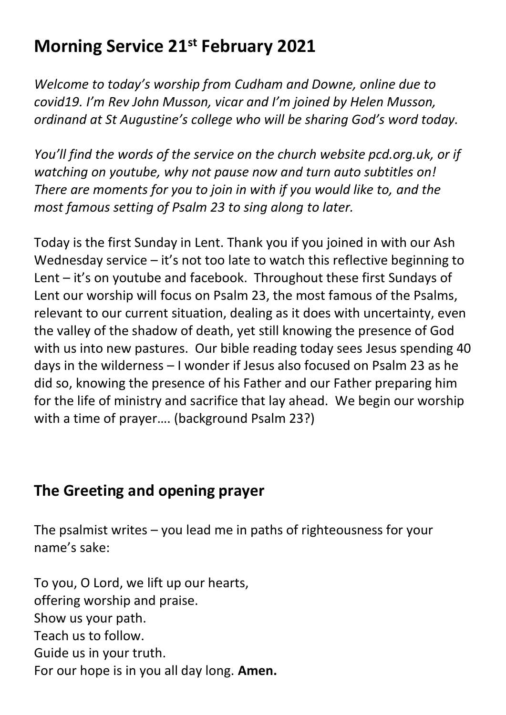# **Morning Service 21st February 2021**

*Welcome to today's worship from Cudham and Downe, online due to covid19. I'm Rev John Musson, vicar and I'm joined by Helen Musson, ordinand at St Augustine's college who will be sharing God's word today.*

*You'll find the words of the service on the church website pcd.org.uk, or if watching on youtube, why not pause now and turn auto subtitles on! There are moments for you to join in with if you would like to, and the most famous setting of Psalm 23 to sing along to later.*

Today is the first Sunday in Lent. Thank you if you joined in with our Ash Wednesday service – it's not too late to watch this reflective beginning to Lent – it's on youtube and facebook. Throughout these first Sundays of Lent our worship will focus on Psalm 23, the most famous of the Psalms, relevant to our current situation, dealing as it does with uncertainty, even the valley of the shadow of death, yet still knowing the presence of God with us into new pastures. Our bible reading today sees Jesus spending 40 days in the wilderness – I wonder if Jesus also focused on Psalm 23 as he did so, knowing the presence of his Father and our Father preparing him for the life of ministry and sacrifice that lay ahead. We begin our worship with a time of prayer…. (background Psalm 23?)

## **The Greeting and opening prayer**

The psalmist writes – you lead me in paths of righteousness for your name's sake:

To you, O Lord, we lift up our hearts, offering worship and praise. Show us your path. Teach us to follow. Guide us in your truth. For our hope is in you all day long. **Amen.**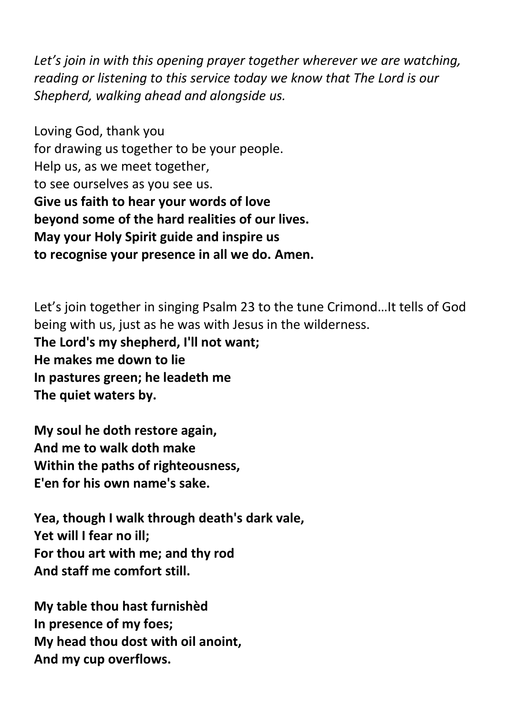*Let's join in with this opening prayer together wherever we are watching, reading or listening to this service today we know that The Lord is our Shepherd, walking ahead and alongside us.*

Loving God, thank you for drawing us together to be your people. Help us, as we meet together, to see ourselves as you see us. **Give us faith to hear your words of love beyond some of the hard realities of our lives. May your Holy Spirit guide and inspire us to recognise your presence in all we do. Amen.**

Let's join together in singing Psalm 23 to the tune Crimond…It tells of God being with us, just as he was with Jesus in the wilderness. **The Lord's my shepherd, I'll not want; He makes me down to lie In pastures green; he leadeth me The quiet waters by.**

**My soul he doth restore again, And me to walk doth make Within the paths of righteousness, E'en for his own name's sake.**

**Yea, though I walk through death's dark vale, Yet will I fear no ill; For thou art with me; and thy rod And staff me comfort still.**

**My table thou hast furnishèd In presence of my foes; My head thou dost with oil anoint, And my cup overflows.**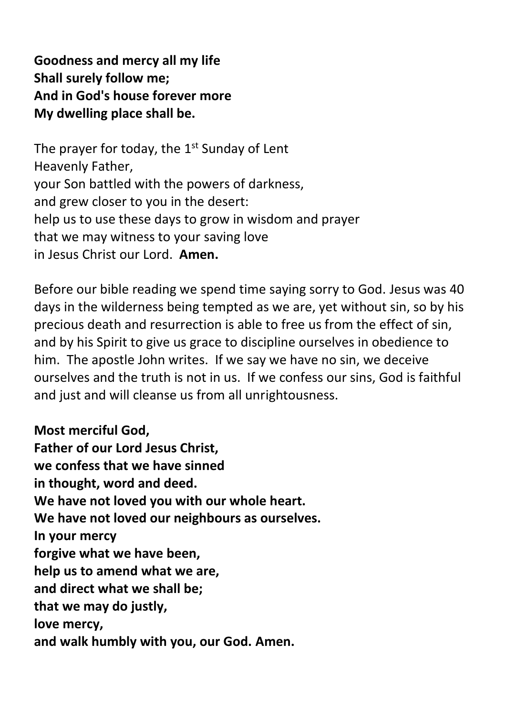**Goodness and mercy all my life Shall surely follow me; And in God's house forever more My dwelling place shall be.**

The prayer for today, the  $1^{\rm st}$  Sunday of Lent Heavenly Father, your Son battled with the powers of darkness, and grew closer to you in the desert: help us to use these days to grow in wisdom and prayer that we may witness to your saving love in Jesus Christ our Lord. **Amen.**

Before our bible reading we spend time saying sorry to God. Jesus was 40 days in the wilderness being tempted as we are, yet without sin, so by his precious death and resurrection is able to free us from the effect of sin, and by his Spirit to give us grace to discipline ourselves in obedience to him. The apostle John writes. If we say we have no sin, we deceive ourselves and the truth is not in us. If we confess our sins, God is faithful and just and will cleanse us from all unrightousness.

**Most merciful God, Father of our Lord Jesus Christ, we confess that we have sinned in thought, word and deed. We have not loved you with our whole heart. We have not loved our neighbours as ourselves. In your mercy forgive what we have been, help us to amend what we are, and direct what we shall be; that we may do justly, love mercy, and walk humbly with you, our God. Amen.**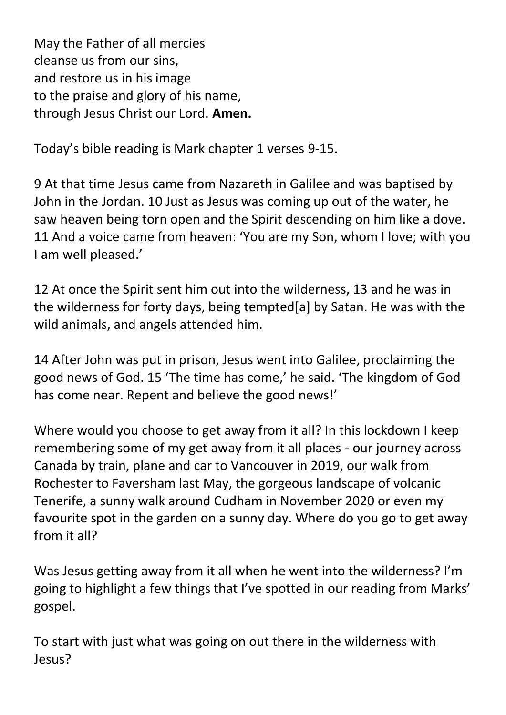May the Father of all mercies cleanse us from our sins, and restore us in his image to the praise and glory of his name, through Jesus Christ our Lord. **Amen.**

Today's bible reading is Mark chapter 1 verses 9-15.

9 At that time Jesus came from Nazareth in Galilee and was baptised by John in the Jordan. 10 Just as Jesus was coming up out of the water, he saw heaven being torn open and the Spirit descending on him like a dove. 11 And a voice came from heaven: 'You are my Son, whom I love; with you I am well pleased.'

12 At once the Spirit sent him out into the wilderness, 13 and he was in the wilderness for forty days, being tempted[a] by Satan. He was with the wild animals, and angels attended him.

14 After John was put in prison, Jesus went into Galilee, proclaiming the good news of God. 15 'The time has come,' he said. 'The kingdom of God has come near. Repent and believe the good news!'

Where would you choose to get away from it all? In this lockdown I keep remembering some of my get away from it all places - our journey across Canada by train, plane and car to Vancouver in 2019, our walk from Rochester to Faversham last May, the gorgeous landscape of volcanic Tenerife, a sunny walk around Cudham in November 2020 or even my favourite spot in the garden on a sunny day. Where do you go to get away from it all?

Was Jesus getting away from it all when he went into the wilderness? I'm going to highlight a few things that I've spotted in our reading from Marks' gospel.

To start with just what was going on out there in the wilderness with Jesus?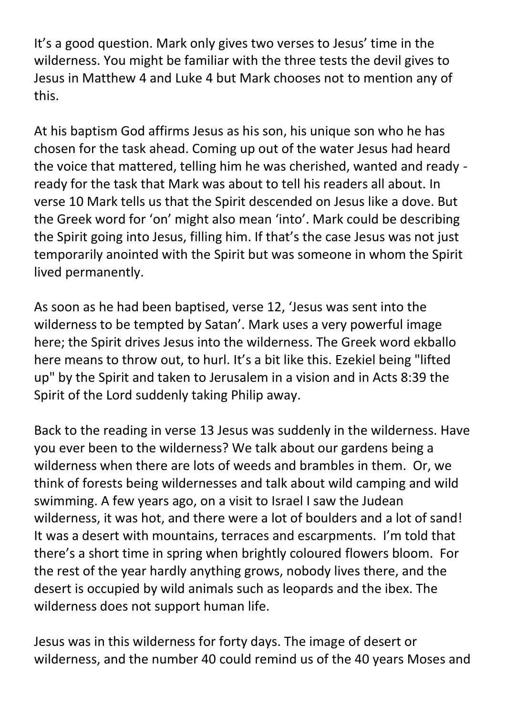It's a good question. Mark only gives two verses to Jesus' time in the wilderness. You might be familiar with the three tests the devil gives to Jesus in Matthew 4 and Luke 4 but Mark chooses not to mention any of this.

At his baptism God affirms Jesus as his son, his unique son who he has chosen for the task ahead. Coming up out of the water Jesus had heard the voice that mattered, telling him he was cherished, wanted and ready ready for the task that Mark was about to tell his readers all about. In verse 10 Mark tells us that the Spirit descended on Jesus like a dove. But the Greek word for 'on' might also mean 'into'. Mark could be describing the Spirit going into Jesus, filling him. If that's the case Jesus was not just temporarily anointed with the Spirit but was someone in whom the Spirit lived permanently.

As soon as he had been baptised, verse 12, 'Jesus was sent into the wilderness to be tempted by Satan'. Mark uses a very powerful image here; the Spirit drives Jesus into the wilderness. The Greek word ekballo here means to throw out, to hurl. It's a bit like this. Ezekiel being "lifted up" by the Spirit and taken to Jerusalem in a vision and in Acts 8:39 the Spirit of the Lord suddenly taking Philip away.

Back to the reading in verse 13 Jesus was suddenly in the wilderness. Have you ever been to the wilderness? We talk about our gardens being a wilderness when there are lots of weeds and brambles in them. Or, we think of forests being wildernesses and talk about wild camping and wild swimming. A few years ago, on a visit to Israel I saw the Judean wilderness, it was hot, and there were a lot of boulders and a lot of sand! It was a desert with mountains, terraces and escarpments. I'm told that there's a short time in spring when brightly coloured flowers bloom. For the rest of the year hardly anything grows, nobody lives there, and the desert is occupied by wild animals such as leopards and the ibex. The wilderness does not support human life.

Jesus was in this wilderness for forty days. The image of desert or wilderness, and the number 40 could remind us of the 40 years Moses and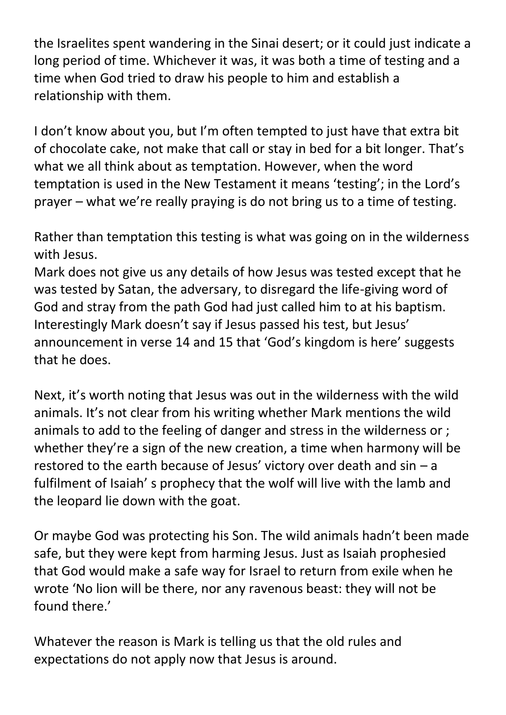the Israelites spent wandering in the Sinai desert; or it could just indicate a long period of time. Whichever it was, it was both a time of testing and a time when God tried to draw his people to him and establish a relationship with them.

I don't know about you, but I'm often tempted to just have that extra bit of chocolate cake, not make that call or stay in bed for a bit longer. That's what we all think about as temptation. However, when the word temptation is used in the New Testament it means 'testing'; in the Lord's prayer – what we're really praying is do not bring us to a time of testing.

Rather than temptation this testing is what was going on in the wilderness with Jesus.

Mark does not give us any details of how Jesus was tested except that he was tested by Satan, the adversary, to disregard the life-giving word of God and stray from the path God had just called him to at his baptism. Interestingly Mark doesn't say if Jesus passed his test, but Jesus' announcement in verse 14 and 15 that 'God's kingdom is here' suggests that he does.

Next, it's worth noting that Jesus was out in the wilderness with the wild animals. It's not clear from his writing whether Mark mentions the wild animals to add to the feeling of danger and stress in the wilderness or ; whether they're a sign of the new creation, a time when harmony will be restored to the earth because of Jesus' victory over death and sin – a fulfilment of Isaiah' s prophecy that the wolf will live with the lamb and the leopard lie down with the goat.

Or maybe God was protecting his Son. The wild animals hadn't been made safe, but they were kept from harming Jesus. Just as Isaiah prophesied that God would make a safe way for Israel to return from exile when he wrote 'No lion will be there, nor any ravenous beast: they will not be found there'

Whatever the reason is Mark is telling us that the old rules and expectations do not apply now that Jesus is around.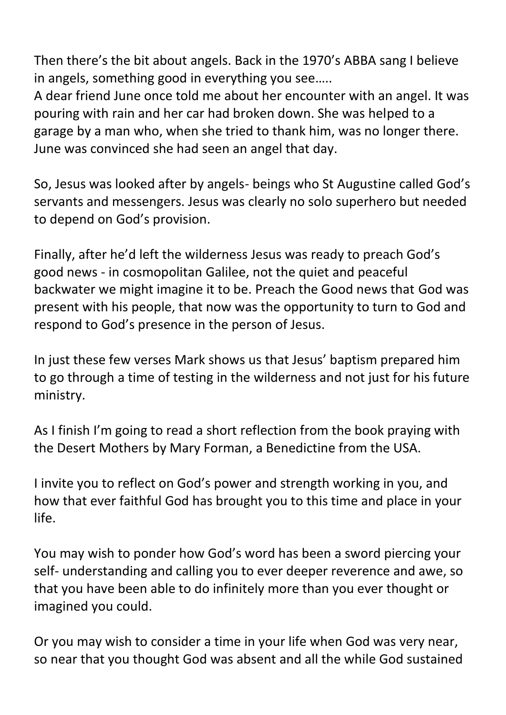Then there's the bit about angels. Back in the 1970's ABBA sang I believe in angels, something good in everything you see…..

A dear friend June once told me about her encounter with an angel. It was pouring with rain and her car had broken down. She was helped to a garage by a man who, when she tried to thank him, was no longer there. June was convinced she had seen an angel that day.

So, Jesus was looked after by angels- beings who St Augustine called God's servants and messengers. Jesus was clearly no solo superhero but needed to depend on God's provision.

Finally, after he'd left the wilderness Jesus was ready to preach God's good news - in cosmopolitan Galilee, not the quiet and peaceful backwater we might imagine it to be. Preach the Good news that God was present with his people, that now was the opportunity to turn to God and respond to God's presence in the person of Jesus.

In just these few verses Mark shows us that Jesus' baptism prepared him to go through a time of testing in the wilderness and not just for his future ministry.

As I finish I'm going to read a short reflection from the book praying with the Desert Mothers by Mary Forman, a Benedictine from the USA.

I invite you to reflect on God's power and strength working in you, and how that ever faithful God has brought you to this time and place in your life.

You may wish to ponder how God's word has been a sword piercing your self- understanding and calling you to ever deeper reverence and awe, so that you have been able to do infinitely more than you ever thought or imagined you could.

Or you may wish to consider a time in your life when God was very near, so near that you thought God was absent and all the while God sustained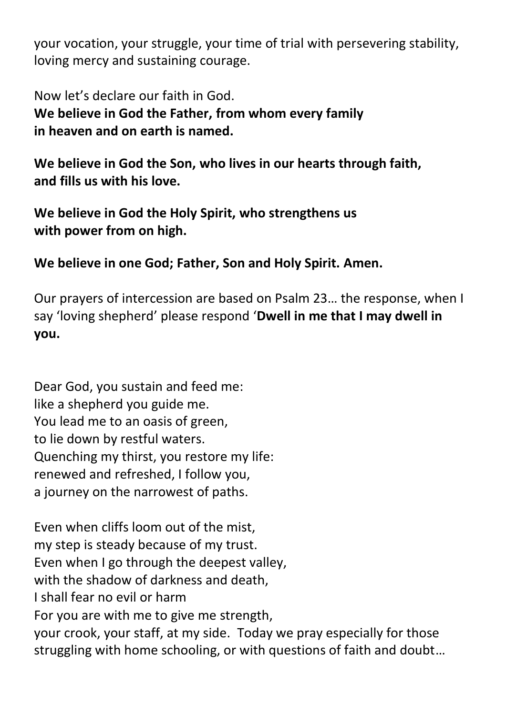your vocation, your struggle, your time of trial with persevering stability, loving mercy and sustaining courage.

Now let's declare our faith in God. **We believe in God the Father, from whom every family in heaven and on earth is named.**

**We believe in God the Son, who lives in our hearts through faith, and fills us with his love.**

**We believe in God the Holy Spirit, who strengthens us with power from on high.**

**We believe in one God; Father, Son and Holy Spirit. Amen.**

Our prayers of intercession are based on Psalm 23… the response, when I say 'loving shepherd' please respond '**Dwell in me that I may dwell in you.**

Dear God, you sustain and feed me: like a shepherd you guide me. You lead me to an oasis of green, to lie down by restful waters. Quenching my thirst, you restore my life: renewed and refreshed, I follow you, a journey on the narrowest of paths.

Even when cliffs loom out of the mist, my step is steady because of my trust. Even when I go through the deepest valley, with the shadow of darkness and death, I shall fear no evil or harm For you are with me to give me strength, your crook, your staff, at my side. Today we pray especially for those struggling with home schooling, or with questions of faith and doubt…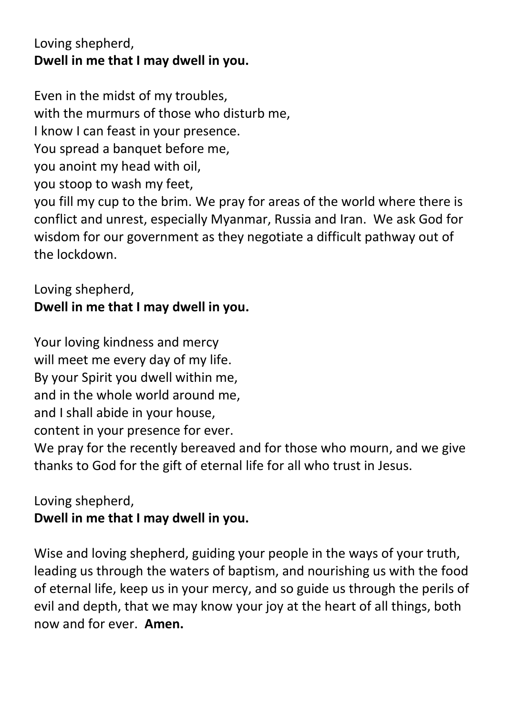## Loving shepherd, **Dwell in me that I may dwell in you.**

Even in the midst of my troubles, with the murmurs of those who disturb me, I know I can feast in your presence. You spread a banquet before me. you anoint my head with oil, you stoop to wash my feet, you fill my cup to the brim. We pray for areas of the world where there is conflict and unrest, especially Myanmar, Russia and Iran. We ask God for wisdom for our government as they negotiate a difficult pathway out of the lockdown.

#### Loving shepherd, **Dwell in me that I may dwell in you.**

Your loving kindness and mercy will meet me every day of my life. By your Spirit you dwell within me, and in the whole world around me, and I shall abide in your house, content in your presence for ever. We pray for the recently bereaved and for those who mourn, and we give thanks to God for the gift of eternal life for all who trust in Jesus.

Loving shepherd, **Dwell in me that I may dwell in you.**

Wise and loving shepherd, guiding your people in the ways of your truth, leading us through the waters of baptism, and nourishing us with the food of eternal life, keep us in your mercy, and so guide us through the perils of evil and depth, that we may know your joy at the heart of all things, both now and for ever. **Amen.**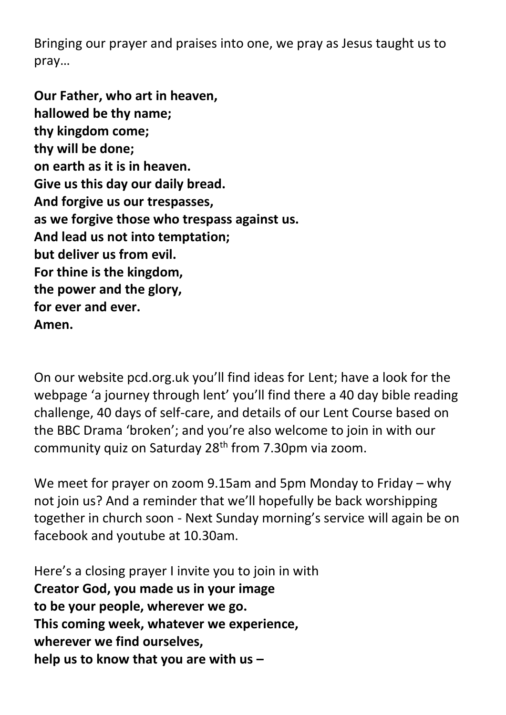Bringing our prayer and praises into one, we pray as Jesus taught us to pray…

**Our Father, who art in heaven, hallowed be thy name; thy kingdom come; thy will be done; on earth as it is in heaven. Give us this day our daily bread. And forgive us our trespasses, as we forgive those who trespass against us. And lead us not into temptation; but deliver us from evil. For thine is the kingdom, the power and the glory, for ever and ever. Amen.**

On our website pcd.org.uk you'll find ideas for Lent; have a look for the webpage 'a journey through lent' you'll find there a 40 day bible reading challenge, 40 days of self-care, and details of our Lent Course based on the BBC Drama 'broken'; and you're also welcome to join in with our community quiz on Saturday 28th from 7.30pm via zoom.

We meet for prayer on zoom 9.15am and 5pm Monday to Friday – why not join us? And a reminder that we'll hopefully be back worshipping together in church soon - Next Sunday morning's service will again be on facebook and youtube at 10.30am.

Here's a closing prayer I invite you to join in with **Creator God, you made us in your image to be your people, wherever we go. This coming week, whatever we experience, wherever we find ourselves, help us to know that you are with us –**